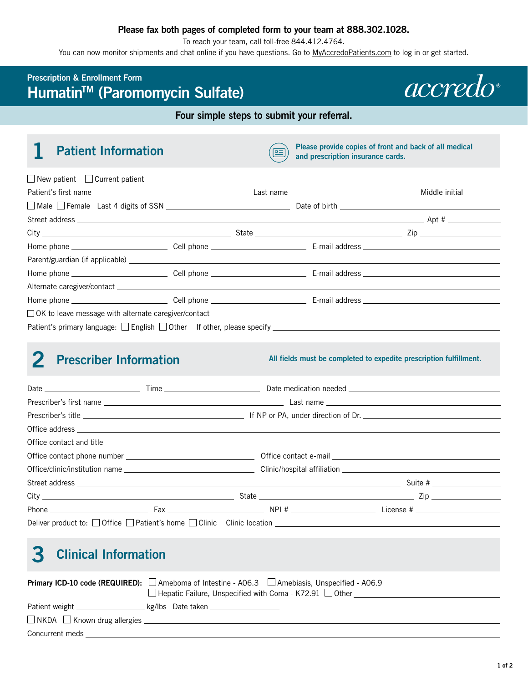## **Please fax both pages of completed form to your team at 888.302.1028.**

To reach your team, call toll-free 844.412.4764.

You can now monitor shipments and chat online if you have questions. Go to [MyAccredoPatients.com](https://MyAccredoPatients.com) to log in or get started.

## **Prescription & Enrollment Form HumatinTM (Paromomycin Sulfate)**



## **Four simple steps to submit your referral.**

**1 Patient Information** *Please provide copies of front and back of all medical* $\sqrt{2\pi}$ **and prescription insurance cards.** 

| $\Box$ New patient $\Box$ Current patient                                  |  |                |
|----------------------------------------------------------------------------|--|----------------|
|                                                                            |  | Middle initial |
| $\Box$ Male $\Box$ Female Last 4 digits of SSN $\Box$ Date of birth $\Box$ |  |                |
|                                                                            |  |                |
|                                                                            |  |                |
|                                                                            |  |                |
|                                                                            |  |                |
|                                                                            |  |                |
|                                                                            |  |                |
|                                                                            |  |                |
| $\Box$ OK to leave message with alternate caregiver/contact                |  |                |
|                                                                            |  |                |
|                                                                            |  |                |

**2 Prescriber Information** *All fields must be completed to expedite prescription fulfillment.* 

|  |  |  | Phone <b>Exam Exam Exam Exam Property</b> Phone <b>Exam Exam Property</b> Phone <b>Example 2</b> License # |  |
|--|--|--|------------------------------------------------------------------------------------------------------------|--|
|  |  |  |                                                                                                            |  |

# **3 Clinical Information**

|                                         | Primary ICD-10 code (REQUIRED): Ameboma of Intestine - A06.3 Amebiasis, Unspecified - A06.9<br>$\Box$ Hepatic Failure, Unspecified with Coma - K72.91 $\Box$ Other |  |  |
|-----------------------------------------|--------------------------------------------------------------------------------------------------------------------------------------------------------------------|--|--|
|                                         |                                                                                                                                                                    |  |  |
|                                         |                                                                                                                                                                    |  |  |
| $\Box$ NKDA $\Box$ Known drug allergies |                                                                                                                                                                    |  |  |
| Concurrent meds                         |                                                                                                                                                                    |  |  |